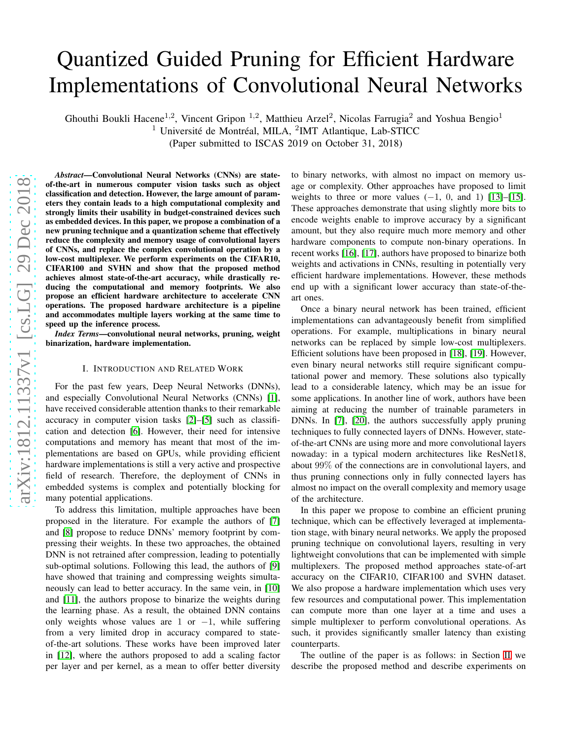# Quantized Guided Pruning for Efficient Hardware Implementations of Convolutional Neural Networks

Ghouthi Boukli Hacene<sup>1,2</sup>, Vincent Gripon<sup>1,2</sup>, Matthieu Arzel<sup>2</sup>, Nicolas Farrugia<sup>2</sup> and Yoshua Bengio<sup>1</sup>  $1$  Université de Montréal, MILA,  $2$ IMT Atlantique, Lab-STICC

(Paper submitted to ISCAS 2019 on October 31, 2018)

*Abstract*—Convolutional Neural Networks (CNNs) are stateof-the-art in numerous computer vision tasks such as object classification and detection. However, the large amount of parameters they contain leads to a high computational complexity and strongly limits their usability in budget-constrained devices such as embedded devices. In this paper, we propose a combination of a new pruning technique and a quantization scheme that effectively reduce the complexity and memory usage of convolutional layers of CNNs, and replace the complex convolutional operation by a low-cost multiplexer. We perform experiments on the CIFAR10, CIFAR100 and SVHN and show that the proposed method achieves almost state-of-the-art accuracy, while drastically reducing the computational and memory footprints. We also propose an efficient hardware architecture to accelerate CNN operations. The proposed hardware architecture is a pipeline and accommodates multiple layers working at the same time to speed up the inference process.

*Index Terms*—convolutional neural networks, pruning, weight binarization, hardware implementation.

## I. INTRODUCTION AND RELATED WORK

For the past few years, Deep Neural Networks (DNNs), and especially Convolutional Neural Networks (CNNs) [\[1\]](#page-4-0), have received considerable attention thanks to their remarkable accuracy in computer vision tasks [\[2\]](#page-4-1)–[\[5\]](#page-4-2) such as classification and detection [\[6\]](#page-4-3). However, their need for intensive computations and memory has meant that most of the implementations are based on GPUs, while providing efficient hardware implementations is still a very active and prospective field of research. Therefore, the deployment of CNNs in embedded systems is complex and potentially blocking for many potential applications.

To address this limitation, multiple approaches have been proposed in the literature. For example the authors of [\[7\]](#page-4-4) and [\[8\]](#page-4-5) propose to reduce DNNs' memory footprint by compressing their weights. In these two approaches, the obtained DNN is not retrained after compression, leading to potentially sub-optimal solutions. Following this lead, the authors of [\[9\]](#page-4-6) have showed that training and compressing weights simultaneously can lead to better accuracy. In the same vein, in [\[10\]](#page-4-7) and [\[11\]](#page-4-8), the authors propose to binarize the weights during the learning phase. As a result, the obtained DNN contains only weights whose values are 1 or  $-1$ , while suffering from a very limited drop in accuracy compared to stateof-the-art solutions. These works have been improved later in [\[12\]](#page-4-9), where the authors proposed to add a scaling factor per layer and per kernel, as a mean to offer better diversity

to binary networks, with almost no impact on memory usage or complexity. Other approaches have proposed to limit weights to three or more values  $(-1, 0, \text{ and } 1)$  [\[13\]](#page-4-10)–[\[15\]](#page-4-11). These approaches demonstrate that using slightly more bits to encode weights enable to improve accuracy by a significant amount, but they also require much more memory and other hardware components to compute non-binary operations. In recent works [\[16\]](#page-4-12), [\[17\]](#page-4-13), authors have proposed to binarize both weights and activations in CNNs, resulting in potentially very efficient hardware implementations. However, these methods end up with a significant lower accuracy than state-of-theart ones.

Once a binary neural network has been trained, efficient implementations can advantageously benefit from simplified operations. For example, multiplications in binary neural networks can be replaced by simple low-cost multiplexers. Efficient solutions have been proposed in [\[18\]](#page-4-14), [\[19\]](#page-4-15). However, even binary neural networks still require significant computational power and memory. These solutions also typically lead to a considerable latency, which may be an issue for some applications. In another line of work, authors have been aiming at reducing the number of trainable parameters in DNNs. In [\[7\]](#page-4-4), [\[20\]](#page-4-16), the authors successfully apply pruning techniques to fully connected layers of DNNs. However, stateof-the-art CNNs are using more and more convolutional layers nowaday: in a typical modern architectures like ResNet18, about 99% of the connections are in convolutional layers, and thus pruning connections only in fully connected layers has almost no impact on the overall complexity and memory usage of the architecture.

In this paper we propose to combine an efficient pruning technique, which can be effectively leveraged at implementation stage, with binary neural networks. We apply the proposed pruning technique on convolutional layers, resulting in very lightweight convolutions that can be implemented with simple multiplexers. The proposed method approaches state-of-art accuracy on the CIFAR10, CIFAR100 and SVHN dataset. We also propose a hardware implementation which uses very few resources and computational power. This implementation can compute more than one layer at a time and uses a simple multiplexer to perform convolutional operations. As such, it provides significantly smaller latency than existing counterparts.

The outline of the paper is as follows: in Section [II](#page-1-0) we describe the proposed method and describe experiments on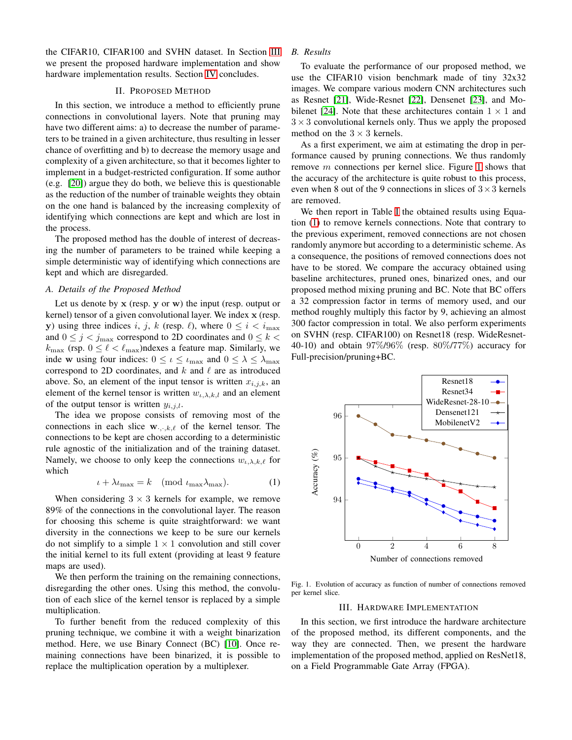the CIFAR10, CIFAR100 and SVHN dataset. In Section [III](#page-1-1) we present the proposed hardware implementation and show hardware implementation results. Section [IV](#page-3-0) concludes.

# II. PROPOSED METHOD

<span id="page-1-0"></span>In this section, we introduce a method to efficiently prune connections in convolutional layers. Note that pruning may have two different aims: a) to decrease the number of parameters to be trained in a given architecture, thus resulting in lesser chance of overfitting and b) to decrease the memory usage and complexity of a given architecture, so that it becomes lighter to implement in a budget-restricted configuration. If some author (e.g. [\[20\]](#page-4-16)) argue they do both, we believe this is questionable as the reduction of the number of trainable weights they obtain on the one hand is balanced by the increasing complexity of identifying which connections are kept and which are lost in the process.

The proposed method has the double of interest of decreasing the number of parameters to be trained while keeping a simple deterministic way of identifying which connections are kept and which are disregarded.

## *A. Details of the Proposed Method*

Let us denote by  $x$  (resp.  $y$  or  $w$ ) the input (resp. output or kernel) tensor of a given convolutional layer. We index x (resp. y) using three indices i, j, k (resp.  $\ell$ ), where  $0 \le i \le i_{\text{max}}$ and  $0 \le j < j_{\text{max}}$  correspond to 2D coordinates and  $0 \le k < j_{\text{max}}$  $k_{\text{max}}$  (rsp.  $0 \leq \ell < \ell_{\text{max}}$ )ndexes a feature map. Similarly, we inde w using four indices:  $0 \leq \iota \leq \iota_{\max}$  and  $0 \leq \lambda \leq \lambda_{\max}$ correspond to 2D coordinates, and  $k$  and  $\ell$  are as introduced above. So, an element of the input tensor is written  $x_{i,j,k}$ , an element of the kernel tensor is written  $w_{\iota,\lambda,k,l}$  and an element of the output tensor is written  $y_{i,j,l}$ .

The idea we propose consists of removing most of the connections in each slice  $\mathbf{w}_{\cdot,\cdot,k,\ell}$  of the kernel tensor. The connections to be kept are chosen according to a deterministic rule agnostic of the initialization and of the training dataset. Namely, we choose to only keep the connections  $w_{\iota,\lambda,k,\ell}$  for which

<span id="page-1-3"></span>
$$
\iota + \lambda \iota_{\max} = k \pmod{\iota_{\max} \lambda_{\max}}.
$$
 (1)

When considering  $3 \times 3$  kernels for example, we remove 89% of the connections in the convolutional layer. The reason for choosing this scheme is quite straightforward: we want diversity in the connections we keep to be sure our kernels do not simplify to a simple  $1 \times 1$  convolution and still cover the initial kernel to its full extent (providing at least 9 feature maps are used).

We then perform the training on the remaining connections, disregarding the other ones. Using this method, the convolution of each slice of the kernel tensor is replaced by a simple multiplication.

To further benefit from the reduced complexity of this pruning technique, we combine it with a weight binarization method. Here, we use Binary Connect (BC) [\[10\]](#page-4-7). Once remaining connections have been binarized, it is possible to replace the multiplication operation by a multiplexer.

# *B. Results*

To evaluate the performance of our proposed method, we use the CIFAR10 vision benchmark made of tiny 32x32 images. We compare various modern CNN architectures such as Resnet [\[21\]](#page-4-17), Wide-Resnet [\[22\]](#page-4-18), Densenet [\[23\]](#page-4-19), and Mo-bilenet [\[24\]](#page-4-20). Note that these architectures contain  $1 \times 1$  and  $3 \times 3$  convolutional kernels only. Thus we apply the proposed method on the  $3 \times 3$  kernels.

As a first experiment, we aim at estimating the drop in performance caused by pruning connections. We thus randomly remove m connections per kernel slice. Figure [1](#page-1-2) shows that the accuracy of the architecture is quite robust to this process, even when 8 out of the 9 connections in slices of  $3 \times 3$  kernels are removed.

We then report in Table [I](#page-2-0) the obtained results using Equation [\(1\)](#page-1-3) to remove kernels connections. Note that contrary to the previous experiment, removed connections are not chosen randomly anymore but according to a deterministic scheme. As a consequence, the positions of removed connections does not have to be stored. We compare the accuracy obtained using baseline architectures, pruned ones, binarized ones, and our proposed method mixing pruning and BC. Note that BC offers a 32 compression factor in terms of memory used, and our method roughly multiply this factor by 9, achieving an almost 300 factor compression in total. We also perform experiments on SVHN (resp. CIFAR100) on Resnet18 (resp. WideResnet-40-10) and obtain 97%/96% (resp. 80%/77%) accuracy for Full-precision/pruning+BC.



<span id="page-1-1"></span>Fig. 1. Evolution of accuracy as function of number of connections removed per kernel slice.

### <span id="page-1-2"></span>III. HARDWARE IMPLEMENTATION

In this section, we first introduce the hardware architecture of the proposed method, its different components, and the way they are connected. Then, we present the hardware implementation of the proposed method, applied on ResNet18, on a Field Programmable Gate Array (FPGA).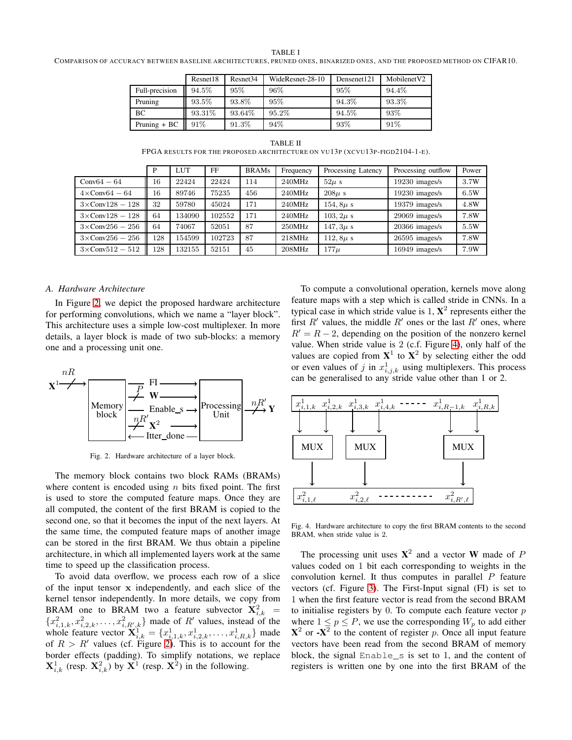#### TABLE I

<span id="page-2-0"></span>COMPARISON OF ACCURACY BETWEEN BASELINE ARCHITECTURES, PRUNED ONES, BINARIZED ONES, AND THE PROPOSED METHOD ON CIFAR10.

|                | Resnet18 | Resnet <sub>34</sub> | WideResnet-28-10 | Densenet121 | Mobilenet <sub>V2</sub> |
|----------------|----------|----------------------|------------------|-------------|-------------------------|
| Full-precision | 94.5%    | 95%                  | 96\%             | 95%         | 94.4%                   |
| Pruning        | 93.5%    | 93.8%                | 95%              | 94.3%       | 93.3%                   |
| BC             | 93.31%   | 93.64%               | 95.2%            | $94.5\%$    | 93%                     |
| Pruning $+ BC$ | 91%      | 91.3%                | 94%              | 93%         | 91\%                    |

TABLE II FPGA RESULTS FOR THE PROPOSED ARCHITECTURE ON VU13P (XCVU13P-FIGD2104-1-E).

<span id="page-2-3"></span>

|                          | P   | LUT    | FF     | <b>BRAMs</b> | Frequency | Processing Latency | Processing outflow | Power |
|--------------------------|-----|--------|--------|--------------|-----------|--------------------|--------------------|-------|
| $Conv64 - 64$            | 16  | 22424  | 22424  | 114          | 240MHz    | $52\mu$ s          | 19230 images/s     | 3.7W  |
| $4 \times$ Conv64 – 64   | 16  | 89746  | 75235  | 456          | 240MHz    | $208\mu s$         | 19230 images/s     | 6.5W  |
| $3\times$ Conv128 - 128  | 32  | 59780  | 45024  | 171          | 240MHz    | 154, $8\mu s$      | 19379 images/s     | 4.8W  |
| $3 \times$ Conv128 - 128 | 64  | 134090 | 102552 | 171          | 240MHz    | $103, 2\mu s$      | 29069 images/s     | 7.8W  |
| $3\times$ Conv256 - 256  | 64  | 74067  | 52051  | 87           | 250MHz    | $147, 3\mu s$      | 20366 images/s     | 5.5W  |
| $3\times$ Conv256 - 256  | 128 | 154599 | 102723 | 87           | 218MHz    | 112, $8\mu s$      | 26595 images/s     | 7.8W  |
| $3 \times$ Conv512 - 512 | 128 | 132155 | 52151  | 45           | 208MHz    | $177\mu$           | 16949 images/s     | 7.9W  |

# *A. Hardware Architecture*

In Figure [2,](#page-2-1) we depict the proposed hardware architecture for performing convolutions, which we name a "layer block". This architecture uses a simple low-cost multiplexer. In more details, a layer block is made of two sub-blocks: a memory one and a processing unit one.



<span id="page-2-1"></span>Fig. 2. Hardware architecture of a layer block.

The memory block contains two block RAMs (BRAMs) where content is encoded using  $n$  bits fixed point. The first is used to store the computed feature maps. Once they are all computed, the content of the first BRAM is copied to the second one, so that it becomes the input of the next layers. At the same time, the computed feature maps of another image can be stored in the first BRAM. We thus obtain a pipeline architecture, in which all implemented layers work at the same time to speed up the classification process.

To avoid data overflow, we process each row of a slice of the input tensor x independently, and each slice of the kernel tensor independently. In more details, we copy from BRAM one to BRAM two a feature subvector  $\mathbf{X}_{i,k}^2$  =  ${x_{i,1,k}^2, x_{i,2,k}^2, \ldots, x_{i,R',k}^2}$  made of R' values, instead of the whole feature vector  $\mathbf{X}_{i,k}^{11} = \{x_{i,1,k}^1, x_{i,2,k}^1, \ldots, x_{i,R,k}^1\}$  made of  $R > R'$  values (cf. Figure [2\)](#page-2-1). This is to account for the border effects (padding). To simplify notations, we replace  $\mathbf{X}_{i,k}^1$  (resp.  $\mathbf{X}_{i,k}^2$ ) by  $\mathbf{X}^1$  (resp.  $\mathbf{X}^2$ ) in the following.

To compute a convolutional operation, kernels move along feature maps with a step which is called stride in CNNs. In a typical case in which stride value is  $1, X^2$  represents either the first  $R'$  values, the middle  $R'$  ones or the last  $R'$  ones, where  $R' = R - 2$ , depending on the position of the nonzero kernel value. When stride value is 2 (c.f. Figure [4\)](#page-2-2), only half of the values are copied from  $X^1$  to  $X^2$  by selecting either the odd or even values of j in  $x_{i,j,k}^1$  using multiplexers. This process can be generalised to any stride value other than 1 or 2.



<span id="page-2-2"></span>Fig. 4. Hardware architecture to copy the first BRAM contents to the second BRAM, when stride value is 2.

The processing unit uses  $X^2$  and a vector W made of P values coded on 1 bit each corresponding to weights in the convolution kernel. It thus computes in parallel  $P$  feature vectors (cf. Figure [3\)](#page-3-1). The First-Input signal (FI) is set to 1 when the first feature vector is read from the second BRAM to initialise registers by  $0$ . To compute each feature vector  $p$ where  $1 \le p \le P$ , we use the corresponding  $W_p$  to add either  ${\bf X}^2$  or  ${\bf -X}^2$  to the content of register p. Once all input feature vectors have been read from the second BRAM of memory block, the signal Enable\_s is set to 1, and the content of registers is written one by one into the first BRAM of the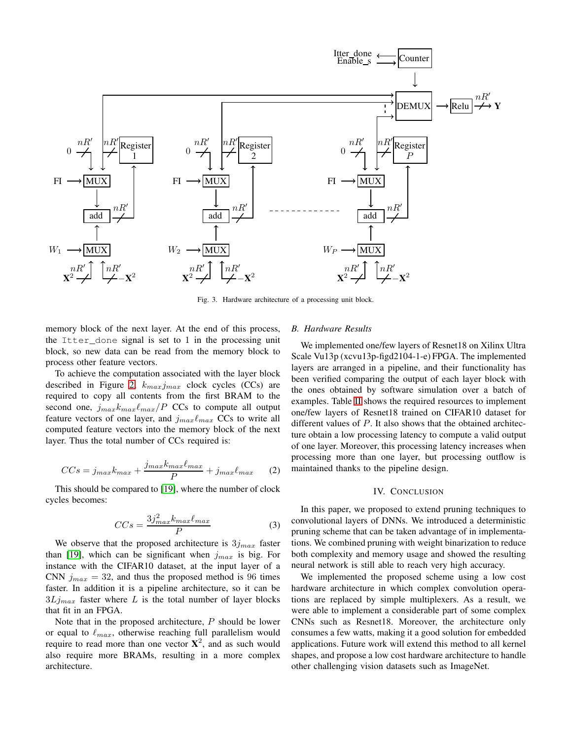

<span id="page-3-1"></span>Fig. 3. Hardware architecture of a processing unit block.

memory block of the next layer. At the end of this process, the Itter done signal is set to  $1$  in the processing unit block, so new data can be read from the memory block to process other feature vectors.

To achieve the computation associated with the layer block described in Figure [2,](#page-2-1)  $k_{max}j_{max}$  clock cycles (CCs) are required to copy all contents from the first BRAM to the second one,  $j_{max}k_{max}/P$  CCs to compute all output feature vectors of one layer, and  $j_{max}\ell_{max}$  CCs to write all computed feature vectors into the memory block of the next layer. Thus the total number of CCs required is:

$$
CCs = j_{max}k_{max} + \frac{j_{max}k_{max}\ell_{max}}{P} + j_{max}\ell_{max}
$$
 (2)

This should be compared to [\[19\]](#page-4-15), where the number of clock cycles becomes:

$$
CCs = \frac{3j_{max}^2 k_{max} \ell_{max}}{P}
$$
 (3)

We observe that the proposed architecture is  $3j_{max}$  faster than [\[19\]](#page-4-15), which can be significant when  $j_{max}$  is big. For instance with the CIFAR10 dataset, at the input layer of a CNN  $j_{max} = 32$ , and thus the proposed method is 96 times faster. In addition it is a pipeline architecture, so it can be  $3Lj_{max}$  faster where L is the total number of layer blocks that fit in an FPGA.

Note that in the proposed architecture, P should be lower or equal to  $\ell_{max}$ , otherwise reaching full parallelism would require to read more than one vector  $X^2$ , and as such would also require more BRAMs, resulting in a more complex architecture.

# *B. Hardware Results*

We implemented one/few layers of Resnet18 on Xilinx Ultra Scale Vu13p (xcvu13p-figd2104-1-e) FPGA. The implemented layers are arranged in a pipeline, and their functionality has been verified comparing the output of each layer block with the ones obtained by software simulation over a batch of examples. Table [II](#page-2-3) shows the required resources to implement one/few layers of Resnet18 trained on CIFAR10 dataset for different values of P. It also shows that the obtained architecture obtain a low processing latency to compute a valid output of one layer. Moreover, this processing latency increases when processing more than one layer, but processing outflow is maintained thanks to the pipeline design.

# IV. CONCLUSION

<span id="page-3-0"></span>In this paper, we proposed to extend pruning techniques to convolutional layers of DNNs. We introduced a deterministic pruning scheme that can be taken advantage of in implementations. We combined pruning with weight binarization to reduce both complexity and memory usage and showed the resulting neural network is still able to reach very high accuracy.

We implemented the proposed scheme using a low cost hardware architecture in which complex convolution operations are replaced by simple multiplexers. As a result, we were able to implement a considerable part of some complex CNNs such as Resnet18. Moreover, the architecture only consumes a few watts, making it a good solution for embedded applications. Future work will extend this method to all kernel shapes, and propose a low cost hardware architecture to handle other challenging vision datasets such as ImageNet.